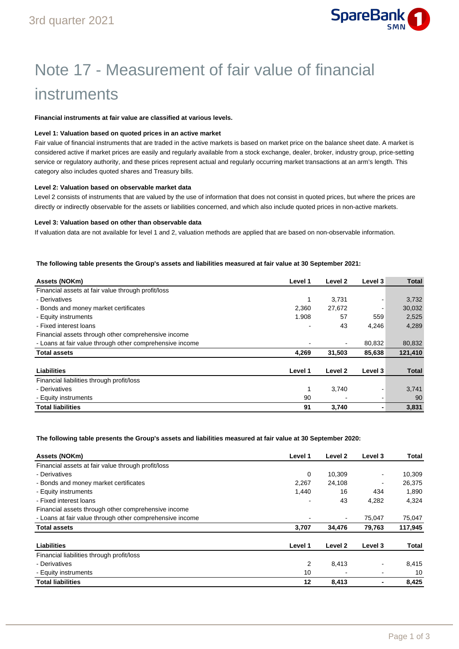

# Note 17 - Measurement of fair value of financial instruments

#### **Financial instruments at fair value are classified at various levels.**

### **Level 1: Valuation based on quoted prices in an active market**

Fair value of financial instruments that are traded in the active markets is based on market price on the balance sheet date. A market is considered active if market prices are easily and regularly available from a stock exchange, dealer, broker, industry group, price-setting service or regulatory authority, and these prices represent actual and regularly occurring market transactions at an arm's length. This category also includes quoted shares and Treasury bills.

#### **Level 2: Valuation based on observable market data**

Level 2 consists of instruments that are valued by the use of information that does not consist in quoted prices, but where the prices are directly or indirectly observable for the assets or liabilities concerned, and which also include quoted prices in non-active markets.

#### **Level 3: Valuation based on other than observable data**

If valuation data are not available for level 1 and 2, valuation methods are applied that are based on non-observable information.

#### **The following table presents the Group's assets and liabilities measured at fair value at 30 September 2021:**

| Assets (NOKm)                                            | Level 1 | Level 2 | Level 3 | <b>Total</b> |
|----------------------------------------------------------|---------|---------|---------|--------------|
| Financial assets at fair value through profit/loss       |         |         |         |              |
| - Derivatives                                            | 1       | 3.731   |         | 3,732        |
| - Bonds and money market certificates                    | 2,360   | 27,672  |         | 30,032       |
| - Equity instruments                                     | 1.908   | 57      | 559     | 2,525        |
| - Fixed interest loans                                   |         | 43      | 4,246   | 4,289        |
| Financial assets through other comprehensive income      |         |         |         |              |
| - Loans at fair value through other comprehensive income |         |         | 80,832  | 80,832       |
| <b>Total assets</b>                                      | 4,269   | 31,503  | 85,638  | 121,410      |
| Liabilities                                              | Level 1 | Level 2 | Level 3 | <b>Total</b> |
| Financial liabilities through profit/loss                |         |         |         |              |
| - Derivatives                                            | 1       | 3,740   |         | 3,741        |
| - Equity instruments                                     | 90      |         |         | 90           |
| <b>Total liabilities</b>                                 | 91      | 3,740   |         | 3,831        |

**The following table presents the Group's assets and liabilities measured at fair value at 30 September 2020:** 

| Assets (NOKm)                                            | Level 1 | Level 2 | Level 3 | Total   |
|----------------------------------------------------------|---------|---------|---------|---------|
| Financial assets at fair value through profit/loss       |         |         |         |         |
| - Derivatives                                            | 0       | 10.309  |         | 10,309  |
| - Bonds and money market certificates                    | 2.267   | 24,108  |         | 26.375  |
| - Equity instruments                                     | 1.440   | 16      | 434     | 1.890   |
| - Fixed interest loans                                   |         | 43      | 4,282   | 4,324   |
| Financial assets through other comprehensive income      |         |         |         |         |
| - Loans at fair value through other comprehensive income |         |         | 75,047  | 75,047  |
| <b>Total assets</b>                                      | 3,707   | 34.476  | 79.763  | 117,945 |
| Liabilities                                              | Level 1 | Level 2 | Level 3 | Total   |
| Financial liabilities through profit/loss                |         |         |         |         |
| - Derivatives                                            | 2       | 8,413   |         | 8,415   |
| - Equity instruments                                     | 10      |         |         | 10      |
| <b>Total liabilities</b>                                 | 12      | 8,413   |         | 8,425   |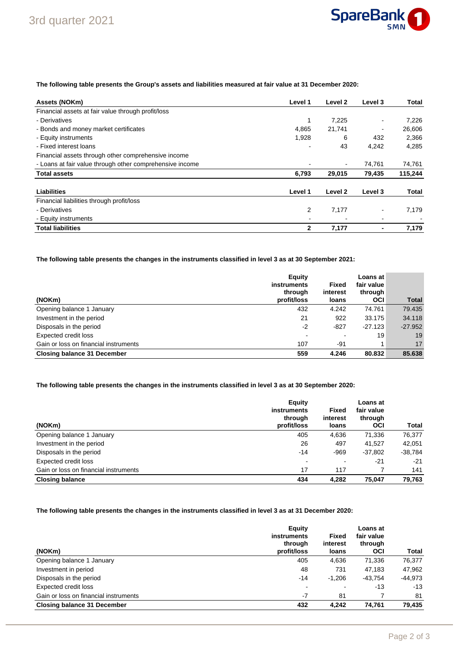

# **The following table presents the Group's assets and liabilities measured at fair value at 31 December 2020:**

| Assets (NOKm)                                            | Level 1 | Level 2 | Level 3 | Total   |
|----------------------------------------------------------|---------|---------|---------|---------|
| Financial assets at fair value through profit/loss       |         |         |         |         |
| - Derivatives                                            | 1       | 7,225   |         | 7,226   |
| - Bonds and money market certificates                    | 4,865   | 21,741  | -       | 26,606  |
| - Equity instruments                                     | 1,928   | 6       | 432     | 2,366   |
| - Fixed interest loans                                   |         | 43      | 4,242   | 4.285   |
| Financial assets through other comprehensive income      |         |         |         |         |
| - Loans at fair value through other comprehensive income |         |         | 74,761  | 74,761  |
| <b>Total assets</b>                                      | 6,793   | 29,015  | 79,435  | 115,244 |
| Liabilities                                              | Level 1 | Level 2 | Level 3 | Total   |
| Financial liabilities through profit/loss                |         |         |         |         |
| - Derivatives                                            | 2       | 7,177   |         | 7,179   |
| - Equity instruments                                     |         |         |         |         |
| <b>Total liabilities</b>                                 | 2       | 7,177   |         | 7,179   |

**The following table presents the changes in the instruments classified in level 3 as at 30 September 2021:**

|                                       | Equity<br>instruments<br>through | <b>Fixed</b><br>interest | Loans at<br>fair value<br>through |              |
|---------------------------------------|----------------------------------|--------------------------|-----------------------------------|--------------|
| (NOKm)                                | profit/loss                      | loans                    | <b>OCI</b>                        | <b>Total</b> |
| Opening balance 1 January             | 432                              | 4.242                    | 74.761                            | 79.435       |
| Investment in the period              | 21                               | 922                      | 33.175                            | 34.118       |
| Disposals in the period               | $-2$                             | $-827$                   | $-27.123$                         | $-27.952$    |
| Expected credit loss                  |                                  | -                        | 19                                | 19           |
| Gain or loss on financial instruments | 107                              | -91                      |                                   | 17           |
| <b>Closing balance 31 December</b>    | 559                              | 4.246                    | 80.832                            | 85.638       |

# **The following table presents the changes in the instruments classified in level 3 as at 30 September 2020:**

| (NOKm)                                | Equity<br><b>instruments</b><br>through<br>profit/loss | <b>Fixed</b><br>interest<br>loans | Loans at<br>fair value<br>through<br><b>OCI</b> | Total   |
|---------------------------------------|--------------------------------------------------------|-----------------------------------|-------------------------------------------------|---------|
| Opening balance 1 January             | 405                                                    | 4,636                             | 71,336                                          | 76.377  |
| Investment in the period              | 26                                                     | 497                               | 41,527                                          | 42.051  |
| Disposals in the period               | $-14$                                                  | $-969$                            | $-37,802$                                       | -38,784 |
| Expected credit loss                  | $\blacksquare$                                         |                                   | $-21$                                           | $-21$   |
| Gain or loss on financial instruments | 17                                                     | 117                               |                                                 | 141     |
| <b>Closing balance</b>                | 434                                                    | 4.282                             | 75.047                                          | 79.763  |

### **The following table presents the changes in the instruments classified in level 3 as at 31 December 2020:**

| (NOKm)                                | Equity<br>instruments<br>through<br>profit/loss | Fixed<br>interest<br>loans | Loans at<br>fair value<br>through<br><b>OCI</b> | Total     |
|---------------------------------------|-------------------------------------------------|----------------------------|-------------------------------------------------|-----------|
| Opening balance 1 January             | 405                                             | 4,636                      | 71,336                                          | 76,377    |
| Investment in period                  | 48                                              | 731                        | 47.183                                          | 47,962    |
| Disposals in the period               | $-14$                                           | $-1.206$                   | $-43.754$                                       | $-44,973$ |
| Expected credit loss                  | $\blacksquare$                                  |                            | $-13$                                           | $-13$     |
| Gain or loss on financial instruments | $-7$                                            | 81                         |                                                 | 81        |
| <b>Closing balance 31 December</b>    | 432                                             | 4.242                      | 74.761                                          | 79,435    |